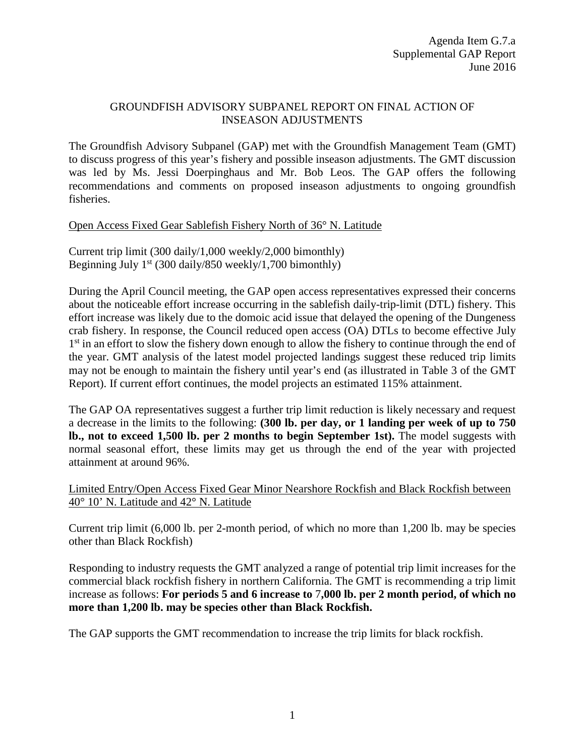# GROUNDFISH ADVISORY SUBPANEL REPORT ON FINAL ACTION OF INSEASON ADJUSTMENTS

The Groundfish Advisory Subpanel (GAP) met with the Groundfish Management Team (GMT) to discuss progress of this year's fishery and possible inseason adjustments. The GMT discussion was led by Ms. Jessi Doerpinghaus and Mr. Bob Leos. The GAP offers the following recommendations and comments on proposed inseason adjustments to ongoing groundfish fisheries.

### Open Access Fixed Gear Sablefish Fishery North of 36° N. Latitude

Current trip limit (300 daily/1,000 weekly/2,000 bimonthly) Beginning July  $1<sup>st</sup>$  (300 daily/850 weekly/1,700 bimonthly)

During the April Council meeting, the GAP open access representatives expressed their concerns about the noticeable effort increase occurring in the sablefish daily-trip-limit (DTL) fishery. This effort increase was likely due to the domoic acid issue that delayed the opening of the Dungeness crab fishery. In response, the Council reduced open access (OA) DTLs to become effective July 1<sup>st</sup> in an effort to slow the fishery down enough to allow the fishery to continue through the end of the year. GMT analysis of the latest model projected landings suggest these reduced trip limits may not be enough to maintain the fishery until year's end (as illustrated in Table 3 of the GMT Report). If current effort continues, the model projects an estimated 115% attainment.

The GAP OA representatives suggest a further trip limit reduction is likely necessary and request a decrease in the limits to the following: **(300 lb. per day, or 1 landing per week of up to 750 lb., not to exceed 1,500 lb. per 2 months to begin September 1st).** The model suggests with normal seasonal effort, these limits may get us through the end of the year with projected attainment at around 96%.

Limited Entry/Open Access Fixed Gear Minor Nearshore Rockfish and Black Rockfish between 40° 10' N. Latitude and 42° N. Latitude

Current trip limit (6,000 lb. per 2-month period, of which no more than 1,200 lb. may be species other than Black Rockfish)

Responding to industry requests the GMT analyzed a range of potential trip limit increases for the commercial black rockfish fishery in northern California. The GMT is recommending a trip limit increase as follows: **For periods 5 and 6 increase to** 7**,000 lb. per 2 month period, of which no more than 1,200 lb. may be species other than Black Rockfish.**

The GAP supports the GMT recommendation to increase the trip limits for black rockfish.